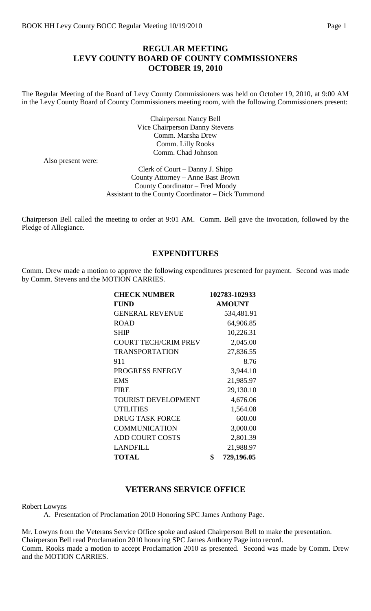## **REGULAR MEETING LEVY COUNTY BOARD OF COUNTY COMMISSIONERS OCTOBER 19, 2010**

The Regular Meeting of the Board of Levy County Commissioners was held on October 19, 2010, at 9:00 AM in the Levy County Board of County Commissioners meeting room, with the following Commissioners present:

> Chairperson Nancy Bell Vice Chairperson Danny Stevens Comm. Marsha Drew Comm. Lilly Rooks Comm. Chad Johnson

Also present were:

Clerk of Court – Danny J. Shipp County Attorney – Anne Bast Brown County Coordinator – Fred Moody Assistant to the County Coordinator – Dick Tummond

Chairperson Bell called the meeting to order at 9:01 AM. Comm. Bell gave the invocation, followed by the Pledge of Allegiance.

### **EXPENDITURES**

Comm. Drew made a motion to approve the following expenditures presented for payment. Second was made by Comm. Stevens and the MOTION CARRIES.

| 102783-102933    |
|------------------|
| <b>AMOUNT</b>    |
| 534,481.91       |
| 64,906.85        |
| 10,226.31        |
| 2,045.00         |
| 27,836.55        |
| 8.76             |
| 3,944.10         |
| 21,985.97        |
| 29,130.10        |
| 4,676.06         |
| 1,564.08         |
| 600.00           |
| 3,000.00         |
| 2,801.39         |
| 21,988.97        |
| \$<br>729,196.05 |
|                  |

### **VETERANS SERVICE OFFICE**

Robert Lowyns

A. Presentation of Proclamation 2010 Honoring SPC James Anthony Page.

Mr. Lowyns from the Veterans Service Office spoke and asked Chairperson Bell to make the presentation. Chairperson Bell read Proclamation 2010 honoring SPC James Anthony Page into record. Comm. Rooks made a motion to accept Proclamation 2010 as presented. Second was made by Comm. Drew and the MOTION CARRIES.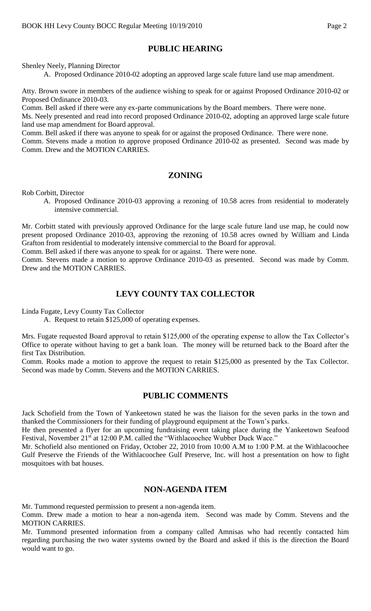## **PUBLIC HEARING**

Shenley Neely, Planning Director

A. Proposed Ordinance 2010-02 adopting an approved large scale future land use map amendment.

Atty. Brown swore in members of the audience wishing to speak for or against Proposed Ordinance 2010-02 or Proposed Ordinance 2010-03.

Comm. Bell asked if there were any ex-parte communications by the Board members. There were none.

Ms. Neely presented and read into record proposed Ordinance 2010-02, adopting an approved large scale future land use map amendment for Board approval.

Comm. Bell asked if there was anyone to speak for or against the proposed Ordinance. There were none.

Comm. Stevens made a motion to approve proposed Ordinance 2010-02 as presented. Second was made by Comm. Drew and the MOTION CARRIES.

### **ZONING**

Rob Corbitt, Director

A. Proposed Ordinance 2010-03 approving a rezoning of 10.58 acres from residential to moderately intensive commercial.

Mr. Corbitt stated with previously approved Ordinance for the large scale future land use map, he could now present proposed Ordinance 2010-03, approving the rezoning of 10.58 acres owned by William and Linda Grafton from residential to moderately intensive commercial to the Board for approval.

Comm. Bell asked if there was anyone to speak for or against. There were none.

Comm. Stevens made a motion to approve Ordinance 2010-03 as presented. Second was made by Comm. Drew and the MOTION CARRIES.

### **LEVY COUNTY TAX COLLECTOR**

Linda Fugate, Levy County Tax Collector

A. Request to retain \$125,000 of operating expenses.

Mrs. Fugate requested Board approval to retain \$125,000 of the operating expense to allow the Tax Collector's Office to operate without having to get a bank loan. The money will be returned back to the Board after the first Tax Distribution.

Comm. Rooks made a motion to approve the request to retain \$125,000 as presented by the Tax Collector. Second was made by Comm. Stevens and the MOTION CARRIES.

### **PUBLIC COMMENTS**

Jack Schofield from the Town of Yankeetown stated he was the liaison for the seven parks in the town and thanked the Commissioners for their funding of playground equipment at the Town's parks.

He then presented a flyer for an upcoming fundraising event taking place during the Yankeetown Seafood Festival, November 21<sup>st</sup> at 12:00 P.M. called the "Withlacoochee Wubber Duck Wace."

Mr. Schofield also mentioned on Friday, October 22, 2010 from 10:00 A.M to 1:00 P.M. at the Withlacoochee Gulf Preserve the Friends of the Withlacoochee Gulf Preserve, Inc. will host a presentation on how to fight mosquitoes with bat houses.

#### **NON-AGENDA ITEM**

Mr. Tummond requested permission to present a non-agenda item.

Comm. Drew made a motion to hear a non-agenda item. Second was made by Comm. Stevens and the MOTION CARRIES.

Mr. Tummond presented information from a company called Amnisas who had recently contacted him regarding purchasing the two water systems owned by the Board and asked if this is the direction the Board would want to go.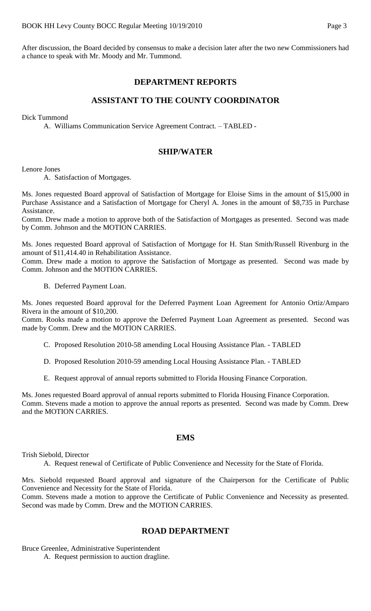After discussion, the Board decided by consensus to make a decision later after the two new Commissioners had a chance to speak with Mr. Moody and Mr. Tummond.

## **DEPARTMENT REPORTS**

## **ASSISTANT TO THE COUNTY COORDINATOR**

Dick Tummond

A. Williams Communication Service Agreement Contract. – TABLED -

## **SHIP/WATER**

Lenore Jones

A. Satisfaction of Mortgages.

Ms. Jones requested Board approval of Satisfaction of Mortgage for Eloise Sims in the amount of \$15,000 in Purchase Assistance and a Satisfaction of Mortgage for Cheryl A. Jones in the amount of \$8,735 in Purchase Assistance.

Comm. Drew made a motion to approve both of the Satisfaction of Mortgages as presented. Second was made by Comm. Johnson and the MOTION CARRIES.

Ms. Jones requested Board approval of Satisfaction of Mortgage for H. Stan Smith/Russell Rivenburg in the amount of \$11,414.40 in Rehabilitation Assistance.

Comm. Drew made a motion to approve the Satisfaction of Mortgage as presented. Second was made by Comm. Johnson and the MOTION CARRIES.

B. Deferred Payment Loan.

Ms. Jones requested Board approval for the Deferred Payment Loan Agreement for Antonio Ortiz/Amparo Rivera in the amount of \$10,200.

Comm. Rooks made a motion to approve the Deferred Payment Loan Agreement as presented. Second was made by Comm. Drew and the MOTION CARRIES.

- C. Proposed Resolution 2010-58 amending Local Housing Assistance Plan. TABLED
- D. Proposed Resolution 2010-59 amending Local Housing Assistance Plan. TABLED
- E. Request approval of annual reports submitted to Florida Housing Finance Corporation.

Ms. Jones requested Board approval of annual reports submitted to Florida Housing Finance Corporation. Comm. Stevens made a motion to approve the annual reports as presented. Second was made by Comm. Drew and the MOTION CARRIES.

### **EMS**

Trish Siebold, Director

A. Request renewal of Certificate of Public Convenience and Necessity for the State of Florida.

Mrs. Siebold requested Board approval and signature of the Chairperson for the Certificate of Public Convenience and Necessity for the State of Florida.

Comm. Stevens made a motion to approve the Certificate of Public Convenience and Necessity as presented. Second was made by Comm. Drew and the MOTION CARRIES.

## **ROAD DEPARTMENT**

Bruce Greenlee, Administrative Superintendent A. Request permission to auction dragline.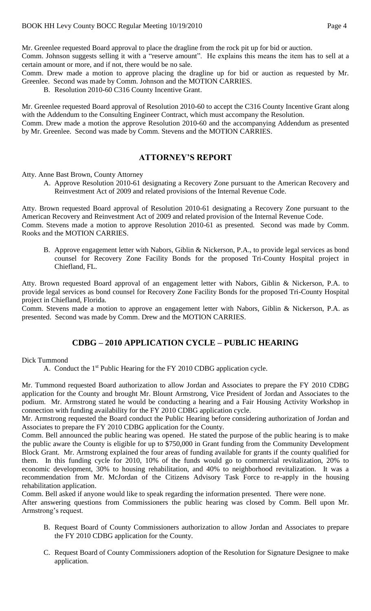Mr. Greenlee requested Board approval to place the dragline from the rock pit up for bid or auction. Comm. Johnson suggests selling it with a "reserve amount". He explains this means the item has to sell at a

certain amount or more, and if not, there would be no sale.

Comm. Drew made a motion to approve placing the dragline up for bid or auction as requested by Mr. Greenlee. Second was made by Comm. Johnson and the MOTION CARRIES.

B. Resolution 2010-60 C316 County Incentive Grant.

Mr. Greenlee requested Board approval of Resolution 2010-60 to accept the C316 County Incentive Grant along with the Addendum to the Consulting Engineer Contract, which must accompany the Resolution.

Comm. Drew made a motion the approve Resolution 2010-60 and the accompanying Addendum as presented by Mr. Greenlee. Second was made by Comm. Stevens and the MOTION CARRIES.

# **ATTORNEY'S REPORT**

Atty. Anne Bast Brown, County Attorney

A. Approve Resolution 2010-61 designating a Recovery Zone pursuant to the American Recovery and Reinvestment Act of 2009 and related provisions of the Internal Revenue Code.

Atty. Brown requested Board approval of Resolution 2010-61 designating a Recovery Zone pursuant to the American Recovery and Reinvestment Act of 2009 and related provision of the Internal Revenue Code. Comm. Stevens made a motion to approve Resolution 2010-61 as presented. Second was made by Comm. Rooks and the MOTION CARRIES.

B. Approve engagement letter with Nabors, Giblin & Nickerson, P.A., to provide legal services as bond counsel for Recovery Zone Facility Bonds for the proposed Tri-County Hospital project in Chiefland, FL.

Atty. Brown requested Board approval of an engagement letter with Nabors, Giblin & Nickerson, P.A. to provide legal services as bond counsel for Recovery Zone Facility Bonds for the proposed Tri-County Hospital project in Chiefland, Florida.

Comm. Stevens made a motion to approve an engagement letter with Nabors, Giblin & Nickerson, P.A. as presented. Second was made by Comm. Drew and the MOTION CARRIES.

## **CDBG – 2010 APPLICATION CYCLE – PUBLIC HEARING**

Dick Tummond

A. Conduct the 1<sup>st</sup> Public Hearing for the FY 2010 CDBG application cycle.

Mr. Tummond requested Board authorization to allow Jordan and Associates to prepare the FY 2010 CDBG application for the County and brought Mr. Blount Armstrong, Vice President of Jordan and Associates to the podium. Mr. Armstrong stated he would be conducting a hearing and a Fair Housing Activity Workshop in connection with funding availability for the FY 2010 CDBG application cycle.

Mr. Armstrong requested the Board conduct the Public Hearing before considering authorization of Jordan and Associates to prepare the FY 2010 CDBG application for the County.

Comm. Bell announced the public hearing was opened. He stated the purpose of the public hearing is to make the public aware the County is eligible for up to \$750,000 in Grant funding from the Community Development Block Grant. Mr. Armstrong explained the four areas of funding available for grants if the county qualified for them. In this funding cycle for 2010, 10% of the funds would go to commercial revitalization, 20% to economic development, 30% to housing rehabilitation, and 40% to neighborhood revitalization. It was a recommendation from Mr. McJordan of the Citizens Advisory Task Force to re-apply in the housing rehabilitation application.

Comm. Bell asked if anyone would like to speak regarding the information presented. There were none. After answering questions from Commissioners the public hearing was closed by Comm. Bell upon Mr. Armstrong's request.

- B. Request Board of County Commissioners authorization to allow Jordan and Associates to prepare the FY 2010 CDBG application for the County.
- C. Request Board of County Commissioners adoption of the Resolution for Signature Designee to make application.